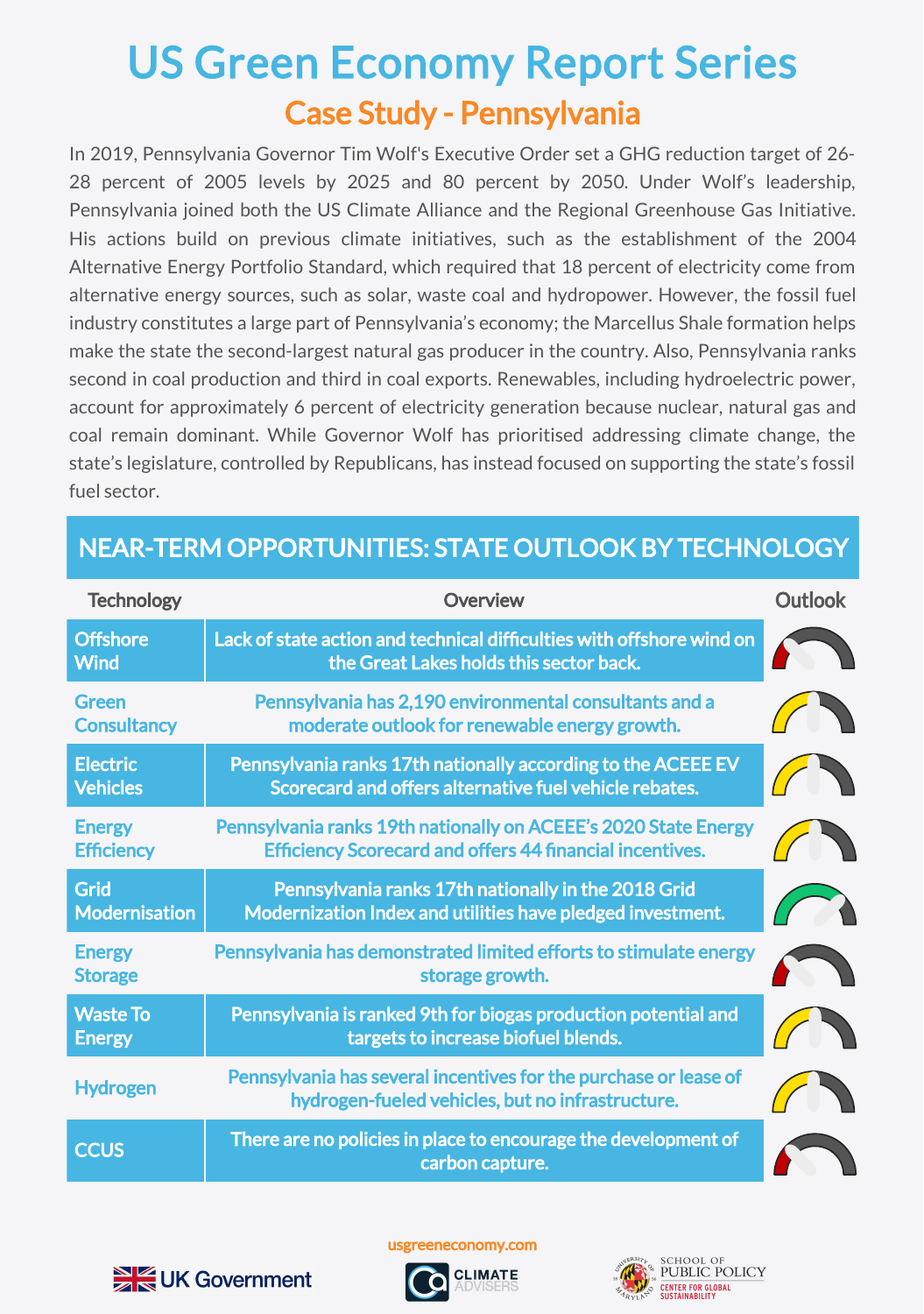## Case Study - Pennsylvania US Green Economy Report Series

In 2019, Pennsylvania Governor Tim Wolf's Executive Order set a GHG reduction target of 26- 28 percent of 2005 levels by 2025 and 80 percent by 2050. Under Wolf's leadership, Pennsylvania joined both the US Climate Alliance and the Regional Greenhouse Gas Initiative. His actions build on previous climate initiatives, such as the establishment of the 2004 Alternative Energy Portfolio Standard, which required that 18 percent of electricity come from alternative energy sources, such as solar, waste coal and hydropower. However, the fossil fuel industry constitutes a large part of Pennsylvania's economy; the Marcellus Shale formation helps make the state the second-largest natural gas producer in the country. Also, Pennsylvania ranks second in coal production and third in coal exports. Renewables, including hydroelectric power, account for approximately 6 percent of electricity generation because nuclear, natural gas and coal remain dominant. While Governor Wolf has prioritised addressing climate change, the state's legislature, controlled by Republicans, has instead focused on supporting the state's fossil fuel sector.

| <b>Technology</b>                   | Overview                                                                                                                           | <b>Outlook</b> |
|-------------------------------------|------------------------------------------------------------------------------------------------------------------------------------|----------------|
| <b>Offshore</b><br><b>Wind</b>      | Lack of state action and technical difficulties with offshore wind on<br>the Great Lakes holds this sector back.                   |                |
| <b>Green</b><br><b>Consultancy</b>  | Pennsylvania has 2,190 environmental consultants and a<br>moderate outlook for renewable energy growth.                            |                |
| <b>Electric</b><br><b>Vehicles</b>  | Pennsylvania ranks 17th nationally according to the ACEEE EV<br>Scorecard and offers alternative fuel vehicle rebates.             |                |
| <b>Energy</b><br><b>Efficiency</b>  | Pennsylvania ranks 19th nationally on ACEEE's 2020 State Energy<br><b>Efficiency Scorecard and offers 44 financial incentives.</b> |                |
| <b>Grid</b><br><b>Modernisation</b> | Pennsylvania ranks 17th nationally in the 2018 Grid<br>Modernization Index and utilities have pledged investment.                  |                |
| <b>Energy</b><br><b>Storage</b>     | Pennsylvania has demonstrated limited efforts to stimulate energy<br>storage growth.                                               |                |
| <b>Waste To</b><br><b>Energy</b>    | Pennsylvania is ranked 9th for biogas production potential and<br>targets to increase biofuel blends.                              |                |
| <b>Hydrogen</b>                     | Pennsylvania has several incentives for the purchase or lease of<br>hydrogen-fueled vehicles, but no infrastructure.               |                |
| <b>CCUS</b>                         | There are no policies in place to encourage the development of<br>carbon capture.                                                  |                |

## NEAR-TERM OPPORTUNITIES: STATE OUTLOOK BY TECHNOLOGY



usgreeneconomy.com